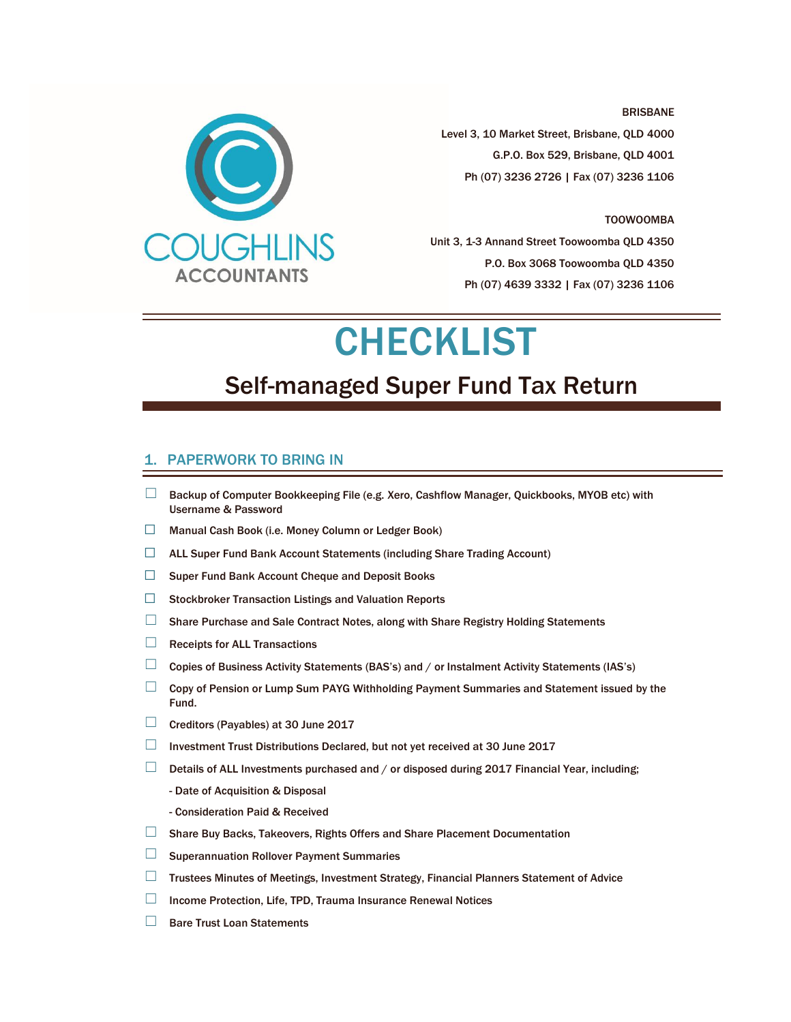

BRISBANE Level 3, 10 Market Street, Brisbane, QLD 4000 G.P.O. Box 529, Brisbane, QLD 4001 Ph (07) 3236 2726 | Fax (07) 3236 1106

#### TOOWOOMBA

Unit 3, 1-3 Annand Street Toowoomba QLD 4350 P.O. Box 3068 Toowoomba QLD 4350 Ph (07) 4639 3332 | Fax (07) 3236 1106

# **CHECKLIST**

# Self-managed Super Fund Tax Return

#### 1. PAPERWORK TO BRING IN

- ☐ Backup of Computer Bookkeeping File (e.g. Xero, Cashflow Manager, Quickbooks, MYOB etc) with Username & Password
- ☐ Manual Cash Book (i.e. Money Column or Ledger Book)
- ☐ ALL Super Fund Bank Account Statements (including Share Trading Account)
- ☐ Super Fund Bank Account Cheque and Deposit Books
- ☐ Stockbroker Transaction Listings and Valuation Reports
- $\Box$  Share Purchase and Sale Contract Notes, along with Share Registry Holding Statements
- $□$  Receipts for ALL Transactions
- ☐ Copies of Business Activity Statements (BAS's) and / or Instalment Activity Statements (IAS's)
- □ Copy of Pension or Lump Sum PAYG Withholding Payment Summaries and Statement issued by the Fund.
- ☐ Creditors (Payables) at 30 June 2017
- $\Box$  Investment Trust Distributions Declared, but not yet received at 30 June 2017
- $\Box$  Details of ALL Investments purchased and / or disposed during 2017 Financial Year, including;
	- Date of Acquisition & Disposal
	- Consideration Paid & Received
- ☐ Share Buy Backs, Takeovers, Rights Offers and Share Placement Documentation
- □ Superannuation Rollover Payment Summaries
- ☐ Trustees Minutes of Meetings, Investment Strategy, Financial Planners Statement of Advice
- □ Income Protection, Life, TPD, Trauma Insurance Renewal Notices
- ☐ Bare Trust Loan Statements